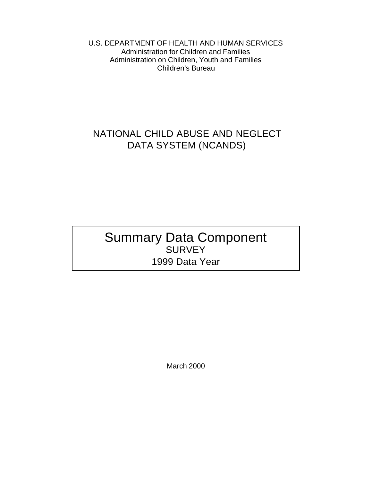U.S. DEPARTMENT OF HEALTH AND HUMAN SERVICES Administration for Children and Families Administration on Children, Youth and Families Children's Bureau

# NATIONAL CHILD ABUSE AND NEGLECT DATA SYSTEM (NCANDS)

# Summary Data Component SURVEY 1999 Data Year

March 2000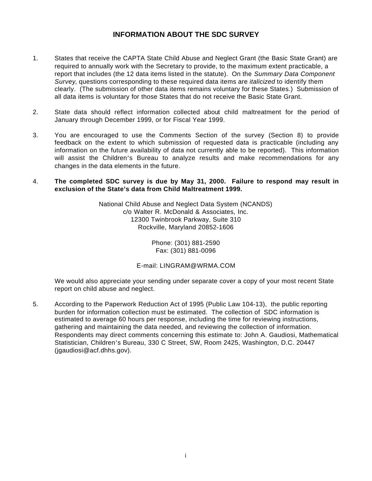### **INFORMATION ABOUT THE SDC SURVEY**

- 1. States that receive the CAPTA State Child Abuse and Neglect Grant (the Basic State Grant) are required to annually work with the Secretary to provide, to the maximum extent practicable, a report that includes (the 12 data items listed in the statute). On the *Summary Data Component Survey*, questions corresponding to these required data items are *italicized* to identify them clearly. (The submission of other data items remains voluntary for these States.) Submission of all data items is voluntary for those States that do not receive the Basic State Grant.
- 2. State data should reflect information collected about child maltreatment for the period of January through December 1999, or for Fiscal Year 1999.
- 3. You are encouraged to use the Comments Section of the survey (Section 8) to provide feedback on the extent to which submission of requested data is practicable (including any information on the future availability of data not currently able to be reported). This information will assist the Children's Bureau to analyze results and make recommendations for any changes in the data elements in the future.
- 4. **The completed SDC survey is due by May 31, 2000. Failure to respond may result in exclusion of the State's data from Child Maltreatment 1999.**

National Child Abuse and Neglect Data System (NCANDS) c/o Walter R. McDonald & Associates, Inc. 12300 Twinbrook Parkway, Suite 310 Rockville, Maryland 20852-1606

> Phone: (301) 881-2590 Fax: (301) 881-0096

#### E-mail: LINGRAM@WRMA.COM

We would also appreciate your sending under separate cover a copy of your most recent State report on child abuse and neglect.

5. According to the Paperwork Reduction Act of 1995 (Public Law 104-13), the public reporting burden for information collection must be estimated. The collection of SDC information is estimated to average 60 hours per response, including the time for reviewing instructions, gathering and maintaining the data needed, and reviewing the collection of information. Respondents may direct comments concerning this estimate to: John A. Gaudiosi, Mathematical Statistician, Children's Bureau, 330 C Street, SW, Room 2425, Washington, D.C. 20447 (jgaudiosi@acf.dhhs.gov).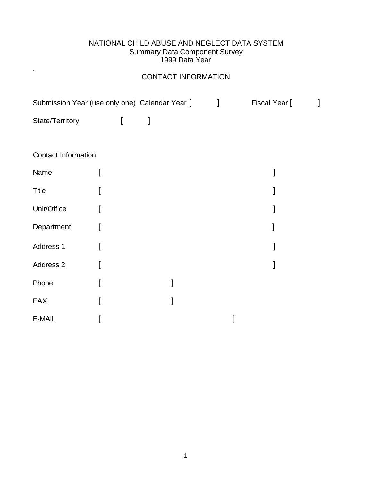### NATIONAL CHILD ABUSE AND NEGLECT DATA SYSTEM Summary Data Component Survey 1999 Data Year

# CONTACT INFORMATION

.

|                      | Submission Year (use only one) Calendar Year [ | $\mathbf{I}$ | Fiscal Year [ | 1 |
|----------------------|------------------------------------------------|--------------|---------------|---|
| State/Territory      | 1<br>$\Gamma$                                  |              |               |   |
|                      |                                                |              |               |   |
| Contact Information: |                                                |              |               |   |
| Name                 |                                                |              |               |   |
| <b>Title</b>         |                                                |              |               |   |
| Unit/Office          |                                                |              |               |   |
| Department           |                                                |              |               |   |
| Address 1            |                                                |              |               |   |
| Address 2            |                                                |              |               |   |
| Phone                |                                                |              |               |   |
| <b>FAX</b>           |                                                |              |               |   |
| E-MAIL               |                                                |              |               |   |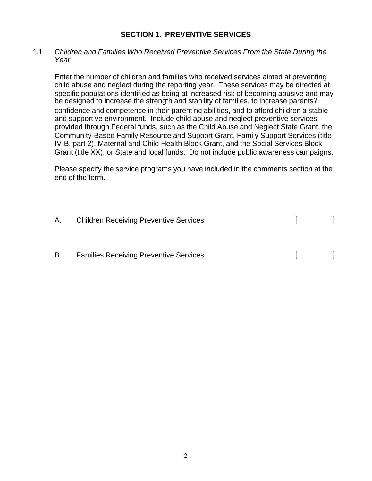### **SECTION 1. PREVENTIVE SERVICES**

#### 1.1 Children and Families Who Received Preventive Services From the State During the *Year*

Enter the number of children and families who received services aimed at preventing child abuse and neglect during the reporting year. These services may be directed at specific populations identified as being at increased risk of becoming abusive and may be designed to increase the strength and stability of families, to increase parents? confidence and competence in their parenting abilities, and to afford children a stable and supportive environment. Include child abuse and neglect preventive services provided through Federal funds, such as the Child Abuse and Neglect State Grant, the Community-Based Family Resource and Support Grant, Family Support Services (title IV-B, part 2), Maternal and Child Health Block Grant, and the Social Services Block Grant (title XX), or State and local funds. Do not include public awareness campaigns.

Please specify the service programs you have included in the comments section at the end of the form.

|    | A. Children Receiving Preventive Services     |  |
|----|-----------------------------------------------|--|
| B. | <b>Families Receiving Preventive Services</b> |  |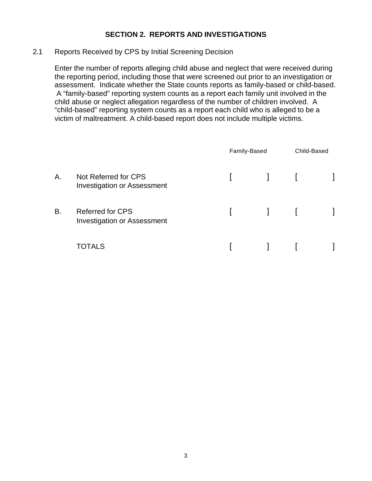# **SECTION 2. REPORTS AND INVESTIGATIONS**

### 2.1 Reports Received by CPS by Initial Screening Decision

Enter the number of reports alleging child abuse and neglect that were received during the reporting period, including those that were screened out prior to an investigation or assessment. Indicate whether the State counts reports as family-based or child-based. A "family-based" reporting system counts as a report each family unit involved in the child abuse or neglect allegation regardless of the number of children involved. A "child-based" reporting system counts as a report each child who is alleged to be a victim of maltreatment. A child-based report does not include multiple victims.

|    |                                                               | Family-Based      |                                                  | Child-Based |  |
|----|---------------------------------------------------------------|-------------------|--------------------------------------------------|-------------|--|
| Α. | Not Referred for CPS<br><b>Investigation or Assessment</b>    | $\mathbf{L}$      | $\blacksquare$ . $\blacksquare$ . $\blacksquare$ |             |  |
| В. | <b>Referred for CPS</b><br><b>Investigation or Assessment</b> | <b>The Common</b> | $\begin{bmatrix} 1 & 1 \\ 1 & 1 \end{bmatrix}$   |             |  |
|    | TOTALS                                                        |                   |                                                  |             |  |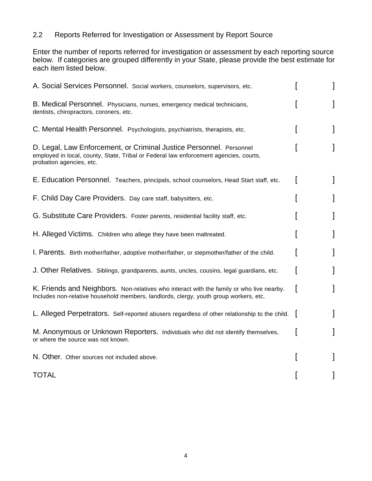# 2.2 Reports Referred for Investigation or Assessment by Report Source

Enter the number of reports referred for investigation or assessment by each reporting source below. If categories are grouped differently in your State, please provide the best estimate for each item listed below.

| A. Social Services Personnel. Social workers, counselors, supervisors, etc.                                                                                                              |  |
|------------------------------------------------------------------------------------------------------------------------------------------------------------------------------------------|--|
| B. Medical Personnel. Physicians, nurses, emergency medical technicians,<br>dentists, chiropractors, coroners, etc.                                                                      |  |
| C. Mental Health Personnel. Psychologists, psychiatrists, therapists, etc.                                                                                                               |  |
| D. Legal, Law Enforcement, or Criminal Justice Personnel. Personnel<br>employed in local, county, State, Tribal or Federal law enforcement agencies, courts,<br>probation agencies, etc. |  |
| E. Education Personnel. Teachers, principals, school counselors, Head Start staff, etc.                                                                                                  |  |
| F. Child Day Care Providers. Day care staff, babysitters, etc.                                                                                                                           |  |
| G. Substitute Care Providers. Foster parents, residential facility staff, etc.                                                                                                           |  |
| H. Alleged Victims. Children who allege they have been maltreated.                                                                                                                       |  |
| I. Parents. Birth mother/father, adoptive mother/father, or stepmother/father of the child.                                                                                              |  |
| J. Other Relatives. Siblings, grandparents, aunts, uncles, cousins, legal guardians, etc.                                                                                                |  |
| K. Friends and Neighbors. Non-relatives who interact with the family or who live nearby.<br>Includes non-relative household members, landlords, clergy, youth group workers, etc.        |  |
| L. Alleged Perpetrators. Self-reported abusers regardless of other relationship to the child.                                                                                            |  |
| M. Anonymous or Unknown Reporters. Individuals who did not identify themselves,<br>or where the source was not known.                                                                    |  |
| N. Other. Other sources not included above.                                                                                                                                              |  |
| <b>TOTAL</b>                                                                                                                                                                             |  |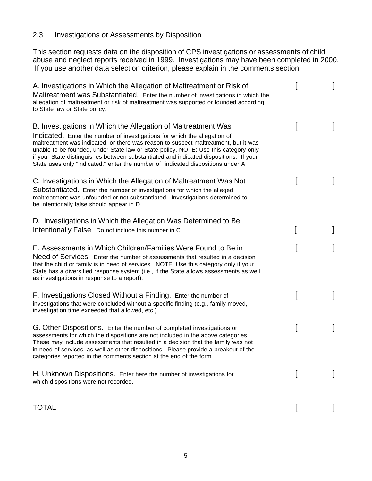# 2.3 Investigations or Assessments by Disposition

This section requests data on the disposition of CPS investigations or assessments of child abuse and neglect reports received in 1999. Investigations may have been completed in 2000. If you use another data selection criterion, please explain in the comments section.

| A. Investigations in Which the Allegation of Maltreatment or Risk of<br>Maltreatment was Substantiated. Enter the number of investigations in which the<br>allegation of maltreatment or risk of maltreatment was supported or founded according<br>to State law or State policy.                                                                                                                                                                                                                     |  |
|-------------------------------------------------------------------------------------------------------------------------------------------------------------------------------------------------------------------------------------------------------------------------------------------------------------------------------------------------------------------------------------------------------------------------------------------------------------------------------------------------------|--|
| B. Investigations in Which the Allegation of Maltreatment Was<br>Indicated. Enter the number of investigations for which the allegation of<br>maltreatment was indicated, or there was reason to suspect maltreatment, but it was<br>unable to be founded, under State law or State policy. NOTE: Use this category only<br>if your State distinguishes between substantiated and indicated dispositions. If your<br>State uses only "indicated," enter the number of indicated dispositions under A. |  |
| C. Investigations in Which the Allegation of Maltreatment Was Not<br>Substantiated. Enter the number of investigations for which the alleged<br>maltreatment was unfounded or not substantiated. Investigations determined to<br>be intentionally false should appear in D.                                                                                                                                                                                                                           |  |
| D. Investigations in Which the Allegation Was Determined to Be<br>Intentionally False. Do not include this number in C.                                                                                                                                                                                                                                                                                                                                                                               |  |
| E. Assessments in Which Children/Families Were Found to Be in<br>Need of Services. Enter the number of assessments that resulted in a decision<br>that the child or family is in need of services. NOTE: Use this category only if your<br>State has a diversified response system (i.e., if the State allows assessments as well<br>as investigations in response to a report).                                                                                                                      |  |
| F. Investigations Closed Without a Finding. Enter the number of<br>investigations that were concluded without a specific finding (e.g., family moved,<br>investigation time exceeded that allowed, etc.).                                                                                                                                                                                                                                                                                             |  |
| G. Other Dispositions. Enter the number of completed investigations or<br>assessments for which the dispositions are not included in the above categories.<br>These may include assessments that resulted in a decision that the family was not<br>in need of services, as well as other dispositions. Please provide a breakout of the<br>categories reported in the comments section at the end of the form.                                                                                        |  |
| H. Unknown Dispositions. Enter here the number of investigations for<br>which dispositions were not recorded.                                                                                                                                                                                                                                                                                                                                                                                         |  |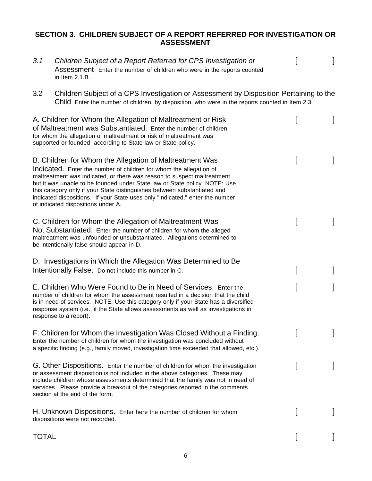# **SECTION 3. CHILDREN SUBJECT OF A REPORT REFERRED FOR INVESTIGATION OR ASSESSMENT**

| 3.1          | Children Subject of a Report Referred for CPS Investigation or<br>Assessment Enter the number of children who were in the reports counted<br>in Item 2.1.B.                                                                                                                                                                                                                                                                                                                                |  |
|--------------|--------------------------------------------------------------------------------------------------------------------------------------------------------------------------------------------------------------------------------------------------------------------------------------------------------------------------------------------------------------------------------------------------------------------------------------------------------------------------------------------|--|
| 3.2          | Children Subject of a CPS Investigation or Assessment by Disposition Pertaining to the<br>Child Enter the number of children, by disposition, who were in the reports counted in Item 2.3.                                                                                                                                                                                                                                                                                                 |  |
|              | A. Children for Whom the Allegation of Maltreatment or Risk<br>of Maltreatment was Substantiated. Enter the number of children<br>for whom the allegation of maltreatment or risk of maltreatment was<br>supported or founded according to State law or State policy.                                                                                                                                                                                                                      |  |
|              | B. Children for Whom the Allegation of Maltreatment Was<br>Indicated. Enter the number of children for whom the allegation of<br>maltreatment was indicated, or there was reason to suspect maltreatment,<br>but it was unable to be founded under State law or State policy. NOTE: Use<br>this category only if your State distinguishes between substantiated and<br>indicated dispositions. If your State uses only "indicated," enter the number<br>of indicated dispositions under A. |  |
|              | C. Children for Whom the Allegation of Maltreatment Was<br>Not Substantiated. Enter the number of children for whom the alleged<br>maltreatment was unfounded or unsubstantiated. Allegations determined to<br>be intentionally false should appear in D.                                                                                                                                                                                                                                  |  |
|              | D. Investigations in Which the Allegation Was Determined to Be<br>Intentionally False. Do not include this number in C.                                                                                                                                                                                                                                                                                                                                                                    |  |
|              | E. Children Who Were Found to Be in Need of Services. Enter the<br>number of children for whom the assessment resulted in a decision that the child<br>is in need of services. NOTE: Use this category only if your State has a diversified<br>response system (i.e., if the State allows assessments as well as investigations in<br>response to a report).                                                                                                                               |  |
|              | F. Children for Whom the Investigation Was Closed Without a Finding.<br>Enter the number of children for whom the investigation was concluded without<br>a specific finding (e.g., family moved, investigation time exceeded that allowed, etc.).                                                                                                                                                                                                                                          |  |
|              | G. Other Dispositions. Enter the number of children for whom the investigation<br>or assessment disposition is not included in the above categories. These may<br>include children whose assessments determined that the family was not in need of<br>services. Please provide a breakout of the categories reported in the comments<br>section at the end of the form.                                                                                                                    |  |
|              | H. Unknown Dispositions. Enter here the number of children for whom<br>dispositions were not recorded.                                                                                                                                                                                                                                                                                                                                                                                     |  |
| <b>TOTAL</b> |                                                                                                                                                                                                                                                                                                                                                                                                                                                                                            |  |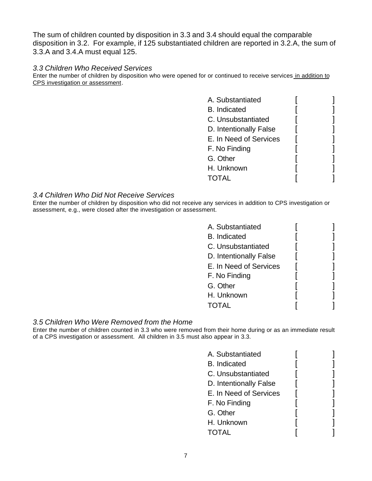The sum of children counted by disposition in 3.3 and 3.4 should equal the comparable disposition in 3.2. For example, if 125 substantiated children are reported in 3.2.A, the sum of 3.3.A and 3.4.A must equal 125.

#### *3.3 Children Who Received Services*

Enter the number of children by disposition who were opened for or continued to receive services in addition to CPS investigation or assessment.

| A. Substantiated       |  |
|------------------------|--|
| <b>B.</b> Indicated    |  |
| C. Unsubstantiated     |  |
| D. Intentionally False |  |
| E. In Need of Services |  |
| F. No Finding          |  |
| G. Other               |  |
| H. Unknown             |  |
| <b>TOTAL</b>           |  |
|                        |  |

#### *3.4 Children Who Did Not Receive Services*

Enter the number of children by disposition who did not receive any services in addition to CPS investigation or assessment, e.g., were closed after the investigation or assessment.

| A. Substantiated       |  |
|------------------------|--|
| <b>B.</b> Indicated    |  |
| C. Unsubstantiated     |  |
| D. Intentionally False |  |
| E. In Need of Services |  |
| F. No Finding          |  |
| G. Other               |  |
| H. Unknown             |  |
| TAI                    |  |

#### *3.5 Children Who Were Removed from the Home*

Enter the number of children counted in 3.3 who were removed from their home during or as an immediate result of a CPS investigation or assessment. All children in 3.5 must also appear in 3.3.

| A. Substantiated       |  |
|------------------------|--|
| <b>B.</b> Indicated    |  |
| C. Unsubstantiated     |  |
| D. Intentionally False |  |
| E. In Need of Services |  |
| F. No Finding          |  |
| G. Other               |  |
| H. Unknown             |  |
| <b>TOTAL</b>           |  |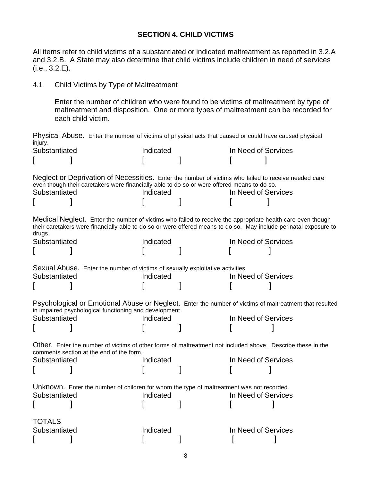## **SECTION 4. CHILD VICTIMS**

All items refer to child victims of a substantiated or indicated maltreatment as reported in 3.2.A and 3.2.B. A State may also determine that child victims include children in need of services (i.e., 3.2.E).

### 4.1 Child Victims by Type of Maltreatment

Enter the number of children who were found to be victims of maltreatment by type of maltreatment and disposition. One or more types of maltreatment can be recorded for each child victim.

Physical Abuse. Enter the number of victims of physical acts that caused or could have caused physical injury.<br>Substantiated Substantiated Indicated In Need of Services

| oupsiarillaltu |                                                                                                                                                                                                     | mundicu   | <b>III INCEU UI OEIVILES</b> |                                                                                                                   |
|----------------|-----------------------------------------------------------------------------------------------------------------------------------------------------------------------------------------------------|-----------|------------------------------|-------------------------------------------------------------------------------------------------------------------|
| Substantiated  | Neglect or Deprivation of Necessities. Enter the number of victims who failed to receive needed care<br>even though their caretakers were financially able to do so or were offered means to do so. | Indicated | In Need of Services          |                                                                                                                   |
| drugs.         | Medical Neglect. Enter the number of victims who failed to receive the appropriate health care even though                                                                                          |           |                              | their caretakers were financially able to do so or were offered means to do so. May include perinatal exposure to |
| Substantiated  |                                                                                                                                                                                                     | Indicated | In Need of Services          |                                                                                                                   |
|                |                                                                                                                                                                                                     |           |                              |                                                                                                                   |
|                | Sexual Abuse. Enter the number of victims of sexually exploitative activities.                                                                                                                      |           |                              |                                                                                                                   |
| Substantiated  |                                                                                                                                                                                                     | Indicated | In Need of Services          |                                                                                                                   |
|                |                                                                                                                                                                                                     |           |                              |                                                                                                                   |
|                | in impaired psychological functioning and development.                                                                                                                                              |           |                              | Psychological or Emotional Abuse or Neglect. Enter the number of victims of maltreatment that resulted            |
| Substantiated  |                                                                                                                                                                                                     | Indicated | In Need of Services          |                                                                                                                   |
|                |                                                                                                                                                                                                     |           |                              |                                                                                                                   |
|                | Other. Enter the number of victims of other forms of maltreatment not included above. Describe these in the<br>comments section at the end of the form.                                             |           |                              |                                                                                                                   |
| Substantiated  |                                                                                                                                                                                                     | Indicated | In Need of Services          |                                                                                                                   |
|                |                                                                                                                                                                                                     |           |                              |                                                                                                                   |
|                | Unknown. Enter the number of children for whom the type of maltreatment was not recorded.                                                                                                           |           |                              |                                                                                                                   |
| Substantiated  |                                                                                                                                                                                                     | Indicated | In Need of Services          |                                                                                                                   |
|                |                                                                                                                                                                                                     |           |                              |                                                                                                                   |
| <b>TOTALS</b>  |                                                                                                                                                                                                     |           |                              |                                                                                                                   |
| Substantiated  |                                                                                                                                                                                                     | Indicated | In Need of Services          |                                                                                                                   |
|                |                                                                                                                                                                                                     |           |                              |                                                                                                                   |
|                |                                                                                                                                                                                                     |           |                              |                                                                                                                   |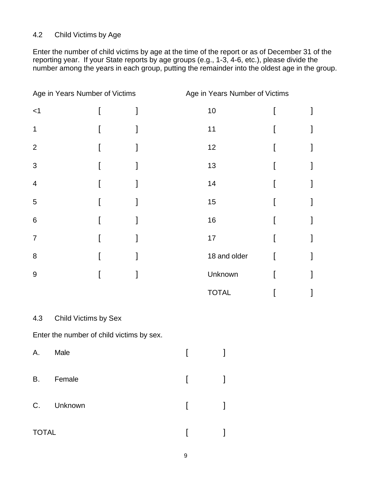# 4.2 Child Victims by Age

Enter the number of child victims by age at the time of the report or as of December 31 of the reporting year. If your State reports by age groups (e.g., 1-3, 4-6, etc.), please divide the number among the years in each group, putting the remainder into the oldest age in the group.

| Age in Years Number of Victims |  | Age in Years Number of Victims |  |
|--------------------------------|--|--------------------------------|--|
| $<$ 1                          |  | 10                             |  |
| 1                              |  | 11                             |  |
| $\overline{2}$                 |  | 12                             |  |
| 3                              |  | 13                             |  |
| $\overline{4}$                 |  | 14                             |  |
| 5                              |  | 15                             |  |
| 6                              |  | 16                             |  |
| $\overline{7}$                 |  | 17                             |  |
| 8                              |  | 18 and older                   |  |
| $9\,$                          |  | Unknown                        |  |
|                                |  | <b>TOTAL</b>                   |  |

### 4.3 Child Victims by Sex

Enter the number of child victims by sex.

| Α.           | Male       |              |  |
|--------------|------------|--------------|--|
| <b>B.</b>    | Female     | $\mathbb{R}$ |  |
|              | C. Unknown | $\mathbf{L}$ |  |
| <b>TOTAL</b> |            |              |  |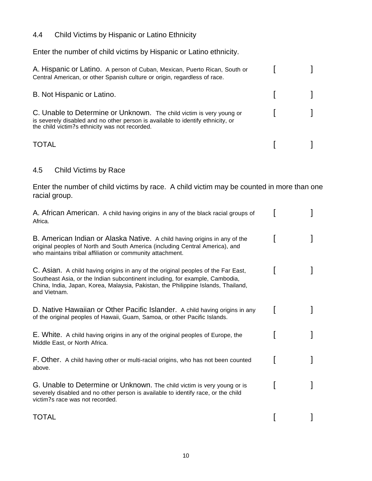# 4.4 Child Victims by Hispanic or Latino Ethnicity

Enter the number of child victims by Hispanic or Latino ethnicity.

| A. Hispanic or Latino. A person of Cuban, Mexican, Puerto Rican, South or<br>Central American, or other Spanish culture or origin, regardless of race.                                                     |  |
|------------------------------------------------------------------------------------------------------------------------------------------------------------------------------------------------------------|--|
| B. Not Hispanic or Latino.                                                                                                                                                                                 |  |
| C. Unable to Determine or Unknown. The child victim is very young or<br>is severely disabled and no other person is available to identify ethnicity, or<br>the child victim? s ethnicity was not recorded. |  |
| <b>TOTAL</b>                                                                                                                                                                                               |  |

# 4.5 Child Victims by Race

Enter the number of child victims by race. A child victim may be counted in more than one racial group.

| A. African American. A child having origins in any of the black racial groups of<br>Africa.                                                                                                                                                                           |  |
|-----------------------------------------------------------------------------------------------------------------------------------------------------------------------------------------------------------------------------------------------------------------------|--|
| B. American Indian or Alaska Native. A child having origins in any of the<br>original peoples of North and South America (including Central America), and<br>who maintains tribal affiliation or community attachment.                                                |  |
| C. Asian. A child having origins in any of the original peoples of the Far East,<br>Southeast Asia, or the Indian subcontinent including, for example, Cambodia,<br>China, India, Japan, Korea, Malaysia, Pakistan, the Philippine Islands, Thailand,<br>and Vietnam. |  |
| D. Native Hawaiian or Other Pacific Islander. A child having origins in any<br>of the original peoples of Hawaii, Guam, Samoa, or other Pacific Islands.                                                                                                              |  |
| E. White. A child having origins in any of the original peoples of Europe, the<br>Middle East, or North Africa.                                                                                                                                                       |  |
| F. Other. A child having other or multi-racial origins, who has not been counted<br>above.                                                                                                                                                                            |  |
| G. Unable to Determine or Unknown. The child victim is very young or is<br>severely disabled and no other person is available to identify race, or the child<br>victim? s race was not recorded.                                                                      |  |
| TOTAL                                                                                                                                                                                                                                                                 |  |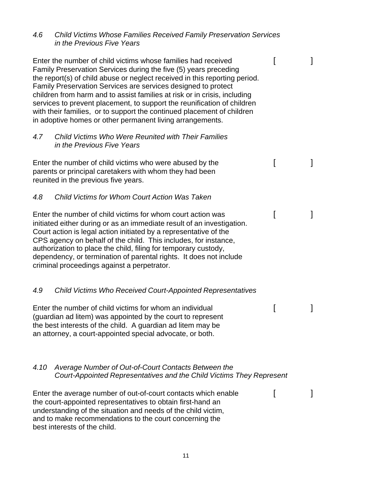| 4.6  | <b>Child Victims Whose Families Received Family Preservation Services</b><br>in the Previous Five Years                                                                                                                                                                                                                                                                                                                                                                                                                                                                         |   |
|------|---------------------------------------------------------------------------------------------------------------------------------------------------------------------------------------------------------------------------------------------------------------------------------------------------------------------------------------------------------------------------------------------------------------------------------------------------------------------------------------------------------------------------------------------------------------------------------|---|
|      | Enter the number of child victims whose families had received<br>Family Preservation Services during the five (5) years preceding<br>the report(s) of child abuse or neglect received in this reporting period.<br>Family Preservation Services are services designed to protect<br>children from harm and to assist families at risk or in crisis, including<br>services to prevent placement, to support the reunification of children<br>with their families, or to support the continued placement of children<br>in adoptive homes or other permanent living arrangements. | 1 |
| 4.7  | <b>Child Victims Who Were Reunited with Their Families</b><br>in the Previous Five Years                                                                                                                                                                                                                                                                                                                                                                                                                                                                                        |   |
|      | Enter the number of child victims who were abused by the<br>parents or principal caretakers with whom they had been<br>reunited in the previous five years.                                                                                                                                                                                                                                                                                                                                                                                                                     | 1 |
| 4.8  | Child Victims for Whom Court Action Was Taken                                                                                                                                                                                                                                                                                                                                                                                                                                                                                                                                   |   |
|      | Enter the number of child victims for whom court action was<br>initiated either during or as an immediate result of an investigation.<br>Court action is legal action initiated by a representative of the<br>CPS agency on behalf of the child. This includes, for instance,<br>authorization to place the child, filing for temporary custody,<br>dependency, or termination of parental rights. It does not include<br>criminal proceedings against a perpetrator.                                                                                                           |   |
| 4.9  | <b>Child Victims Who Received Court-Appointed Representatives</b>                                                                                                                                                                                                                                                                                                                                                                                                                                                                                                               |   |
|      | Enter the number of child victims for whom an individual<br>(guardian ad litem) was appointed by the court to represent<br>the best interests of the child. A guardian ad litem may be<br>an attorney, a court-appointed special advocate, or both.                                                                                                                                                                                                                                                                                                                             |   |
| 4.10 | Average Number of Out-of-Court Contacts Between the<br>Court-Appointed Representatives and the Child Victims They Represent                                                                                                                                                                                                                                                                                                                                                                                                                                                     |   |
|      | Enter the average number of out-of-court contacts which enable<br>the court-appointed representatives to obtain first-hand an<br>understanding of the situation and needs of the child victim,<br>and to make recommendations to the court concerning the<br>best interests of the child.                                                                                                                                                                                                                                                                                       |   |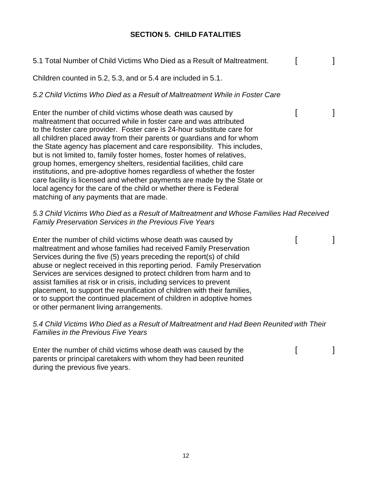# **SECTION 5. CHILD FATALITIES**

| 5.1 Total Number of Child Victims Who Died as a Result of Maltreatment.                                                                                                                                                                                                                                                                                                                                                                                                                                                                                                                                                                                                                                                                                                               | ſ | 1 |
|---------------------------------------------------------------------------------------------------------------------------------------------------------------------------------------------------------------------------------------------------------------------------------------------------------------------------------------------------------------------------------------------------------------------------------------------------------------------------------------------------------------------------------------------------------------------------------------------------------------------------------------------------------------------------------------------------------------------------------------------------------------------------------------|---|---|
| Children counted in 5.2, 5.3, and or 5.4 are included in 5.1.                                                                                                                                                                                                                                                                                                                                                                                                                                                                                                                                                                                                                                                                                                                         |   |   |
| 5.2 Child Victims Who Died as a Result of Maltreatment While in Foster Care                                                                                                                                                                                                                                                                                                                                                                                                                                                                                                                                                                                                                                                                                                           |   |   |
| Enter the number of child victims whose death was caused by<br>maltreatment that occurred while in foster care and was attributed<br>to the foster care provider. Foster care is 24-hour substitute care for<br>all children placed away from their parents or guardians and for whom<br>the State agency has placement and care responsibility. This includes,<br>but is not limited to, family foster homes, foster homes of relatives,<br>group homes, emergency shelters, residential facilities, child care<br>institutions, and pre-adoptive homes regardless of whether the foster<br>care facility is licensed and whether payments are made by the State or<br>local agency for the care of the child or whether there is Federal<br>matching of any payments that are made. | I | 1 |
| 5.3 Child Victims Who Died as a Result of Maltreatment and Whose Families Had Received<br><b>Family Preservation Services in the Previous Five Years</b>                                                                                                                                                                                                                                                                                                                                                                                                                                                                                                                                                                                                                              |   |   |
| Enter the number of child victims whose death was caused by<br>maltreatment and whose families had received Family Preservation<br>Services during the five (5) years preceding the report(s) of child<br>abuse or neglect received in this reporting period. Family Preservation<br>Services are services designed to protect children from harm and to<br>assist families at risk or in crisis, including services to prevent<br>placement, to support the reunification of children with their families,<br>or to support the continued placement of children in adoptive homes<br>or other permanent living arrangements.                                                                                                                                                         | I | I |
| 5.4 Child Victims Who Died as a Result of Maltreatment and Had Been Reunited with Their<br><b>Families in the Previous Five Years</b>                                                                                                                                                                                                                                                                                                                                                                                                                                                                                                                                                                                                                                                 |   |   |
| Enter the number of child victims whose death was caused by the<br>parents or principal caretakers with whom they had been reunited                                                                                                                                                                                                                                                                                                                                                                                                                                                                                                                                                                                                                                                   |   |   |

during the previous five years.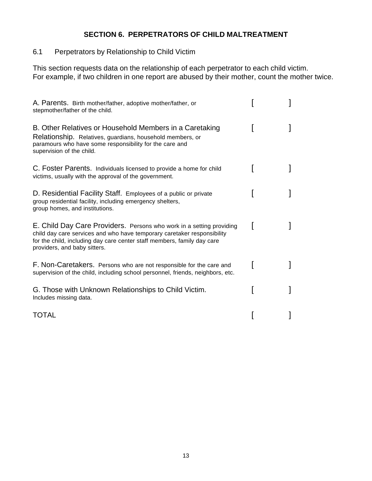# **SECTION 6. PERPETRATORS OF CHILD MALTREATMENT**

6.1 Perpetrators by Relationship to Child Victim

This section requests data on the relationship of each perpetrator to each child victim. For example, if two children in one report are abused by their mother, count the mother twice.

| A. Parents. Birth mother/father, adoptive mother/father, or<br>stepmother/father of the child.                                                                                                                                                             |  |
|------------------------------------------------------------------------------------------------------------------------------------------------------------------------------------------------------------------------------------------------------------|--|
| B. Other Relatives or Household Members in a Caretaking<br>Relationship. Relatives, guardians, household members, or<br>paramours who have some responsibility for the care and<br>supervision of the child.                                               |  |
| C. Foster Parents. Individuals licensed to provide a home for child<br>victims, usually with the approval of the government.                                                                                                                               |  |
| D. Residential Facility Staff. Employees of a public or private<br>group residential facility, including emergency shelters,<br>group homes, and institutions.                                                                                             |  |
| E. Child Day Care Providers. Persons who work in a setting providing<br>child day care services and who have temporary caretaker responsibility<br>for the child, including day care center staff members, family day care<br>providers, and baby sitters. |  |
| F. Non-Caretakers. Persons who are not responsible for the care and<br>supervision of the child, including school personnel, friends, neighbors, etc.                                                                                                      |  |
| G. Those with Unknown Relationships to Child Victim.<br>Includes missing data.                                                                                                                                                                             |  |
| TOTAL                                                                                                                                                                                                                                                      |  |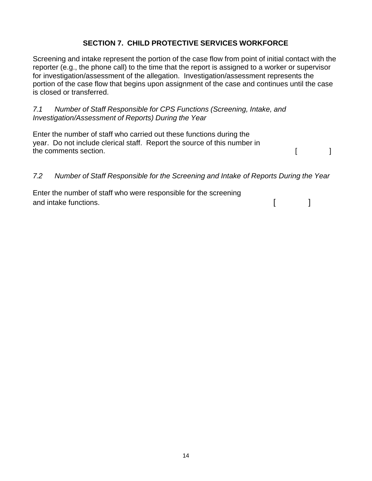# **SECTION 7. CHILD PROTECTIVE SERVICES WORKFORCE**

Screening and intake represent the portion of the case flow from point of initial contact with the reporter (e.g., the phone call) to the time that the report is assigned to a worker or supervisor for investigation/assessment of the allegation. Investigation/assessment represents the portion of the case flow that begins upon assignment of the case and continues until the case is closed or transferred.

*7.1 Number of Staff Responsible for CPS Functions (Screening, Intake, and Investigation/Assessment of Reports) During the Year* 

Enter the number of staff who carried out these functions during the year. Do not include clerical staff. Report the source of this number in the comments section. The comments section.

# *7.2 Number of Staff Responsible for the Screening and Intake of Reports During the Year*

Enter the number of staff who were responsible for the screening and intake functions. The same state of the state of the state of the state of the state of the state of the state of the state of the state of the state of the state of the state of the state of the state of the state of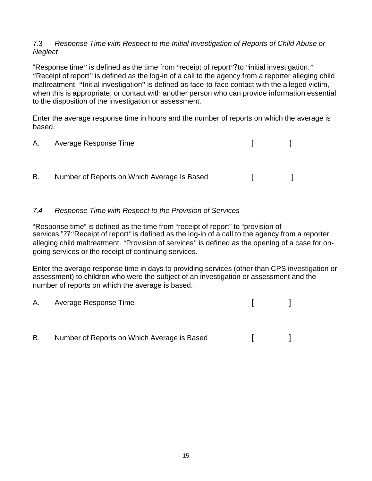### 7.3 *Response Time with Respect to the Initial Investigation of Reports of Child Abuse or Neglect*

"Response time" is defined as the time from "receipt of report"? to "initial investigation." "Receipt of report" is defined as the log-in of a call to the agency from a reporter alleging child maltreatment. "Initial investigation" is defined as face-to-face contact with the alleged victim, when this is appropriate, or contact with another person who can provide information essential to the disposition of the investigation or assessment.

Enter the average response time in hours and the number of reports on which the average is based.

|    | A. Average Response Time                    | the contract of the |                                   |
|----|---------------------------------------------|---------------------|-----------------------------------|
| В. | Number of Reports on Which Average Is Based | and the state       | <b>Contract Contract Contract</b> |
|    |                                             |                     |                                   |

# *7.4 Response Time with Respect to the Provision of Services*

"Response time" is defined as the time from "receipt of report" to "provision of services."?? "Receipt of report" is defined as the log-in of a call to the agency from a reporter alleging child maltreatment. "Provision of services" is defined as the opening of a case for ongoing services or the receipt of continuing services.

Enter the average response time in days to providing services (other than CPS investigation or assessment) to children who were the subject of an investigation or assessment and the number of reports on which the average is based.

| A. | Average Response Time                       |  |
|----|---------------------------------------------|--|
|    |                                             |  |
| В. | Number of Reports on Which Average is Based |  |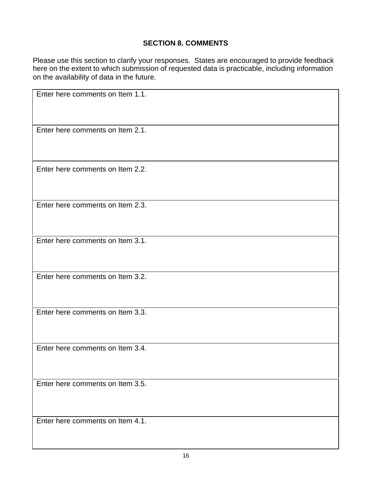# **SECTION 8. COMMENTS**

Please use this section to clarify your responses. States are encouraged to provide feedback here on the extent to which submission of requested data is practicable, including information on the availability of data in the future.

| Enter here comments on Item 1.1. |
|----------------------------------|
| Enter here comments on Item 2.1. |
| Enter here comments on Item 2.2. |
| Enter here comments on Item 2.3. |
| Enter here comments on Item 3.1. |
| Enter here comments on Item 3.2. |
| Enter here comments on Item 3.3. |
| Enter here comments on Item 3.4. |
| Enter here comments on Item 3.5. |
| Enter here comments on Item 4.1. |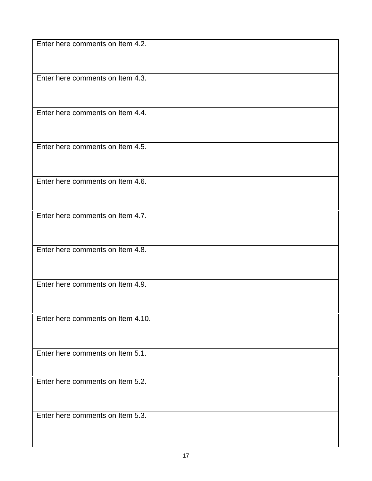Enter here comments on Item 4.2.

Enter here comments on Item 4.3.

Enter here comments on Item 4.4.

Enter here comments on Item 4.5.

Enter here comments on Item 4.6.

Enter here comments on Item 4.7.

Enter here comments on Item 4.8.

Enter here comments on Item 4.9.

Enter here comments on Item 4.10.

Enter here comments on Item 5.1.

Enter here comments on Item 5.2.

Enter here comments on Item 5.3.